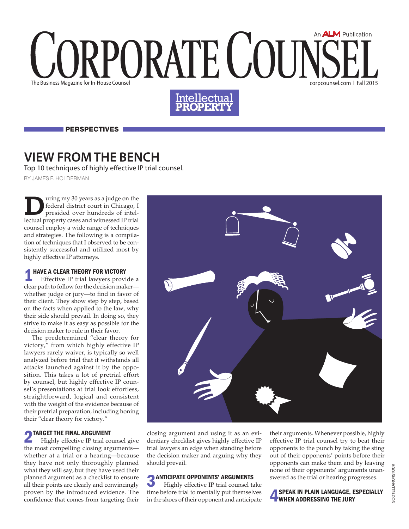# An **ALM** Publication RPORATE COUT The Business Magazine for In-House Counsel corpcounsel.com ❘ Fall 2015



**PERSPECTIVES** 

### **View From the Bench**

Top 10 techniques of highly effective IP trial counsel.

By james f. holderman

uring my 30 years as a judge on the federal district court in Chicago, I presided over hundreds of intellectual property cases and witnessed IP trial counsel employ a wide range of techniques and strategies. The following is a compilation of techniques that I observed to be consistently successful and utilized most by highly effective IP attorneys.

### HAVE A CLEAR THEORY FOR VICTORY

Effective IP trial lawyers provide a clear path to follow for the decision maker whether judge or jury—to find in favor of their client. They show step by step, based on the facts when applied to the law, why their side should prevail. In doing so, they strive to make it as easy as possible for the decision maker to rule in their favor.

The predetermined "clear theory for victory," from which highly effective IP lawyers rarely waiver, is typically so well analyzed before trial that it withstands all attacks launched against it by the opposition. This takes a lot of pretrial effort by counsel, but highly effective IP counsel's presentations at trial look effortless, straightforward, logical and consistent with the weight of the evidence because of their pretrial preparation, including honing their "clear theory for victory."

### **2 TARGET THE FINAL ARGUMENT**

Highly effective IP trial counsel give the most compelling closing arguments whether at a trial or a hearing—because they have not only thoroughly planned what they will say, but they have used their planned argument as a checklist to ensure all their points are clearly and convincingly proven by the introduced evidence. The confidence that comes from targeting their



closing argument and using it as an evidentiary checklist gives highly effective IP trial lawyers an edge when standing before the decision maker and arguing why they should prevail.

# **3** ANTICIPATE OPPONENTS' ARGUMENTS

Highly effective IP trial counsel take time before trial to mentally put themselves in the shoes of their opponent and anticipate their arguments. Whenever possible, highly effective IP trial counsel try to beat their opponents to the punch by taking the sting out of their opponents' points before their opponents can make them and by leaving none of their opponents' arguments unanswered as the trial or hearing progresses.

SPEAK IN PLAIN LANGUAGE, ESPECIALLY When Addressing the Jury